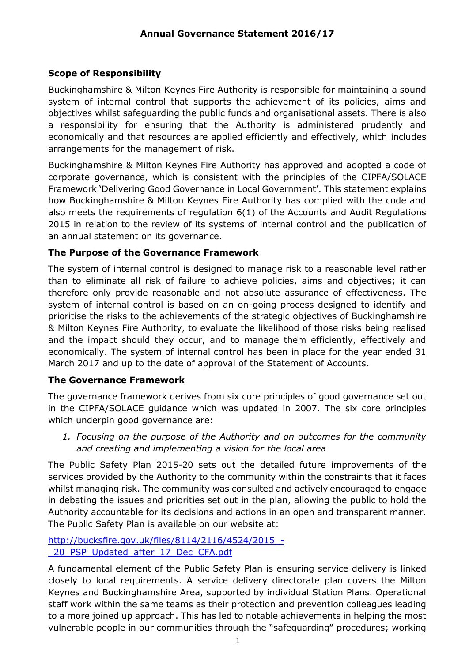## **Scope of Responsibility**

Buckinghamshire & Milton Keynes Fire Authority is responsible for maintaining a sound system of internal control that supports the achievement of its policies, aims and objectives whilst safeguarding the public funds and organisational assets. There is also a responsibility for ensuring that the Authority is administered prudently and economically and that resources are applied efficiently and effectively, which includes arrangements for the management of risk.

Buckinghamshire & Milton Keynes Fire Authority has approved and adopted a code of corporate governance, which is consistent with the principles of the CIPFA/SOLACE Framework 'Delivering Good Governance in Local Government'. This statement explains how Buckinghamshire & Milton Keynes Fire Authority has complied with the code and also meets the requirements of regulation 6(1) of the Accounts and Audit Regulations 2015 in relation to the review of its systems of internal control and the publication of an annual statement on its governance.

## **The Purpose of the Governance Framework**

The system of internal control is designed to manage risk to a reasonable level rather than to eliminate all risk of failure to achieve policies, aims and objectives; it can therefore only provide reasonable and not absolute assurance of effectiveness. The system of internal control is based on an on-going process designed to identify and prioritise the risks to the achievements of the strategic objectives of Buckinghamshire & Milton Keynes Fire Authority, to evaluate the likelihood of those risks being realised and the impact should they occur, and to manage them efficiently, effectively and economically. The system of internal control has been in place for the year ended 31 March 2017 and up to the date of approval of the Statement of Accounts.

### **The Governance Framework**

The governance framework derives from six core principles of good governance set out in the CIPFA/SOLACE guidance which was updated in 2007. The six core principles which underpin good governance are:

*1. Focusing on the purpose of the Authority and on outcomes for the community and creating and implementing a vision for the local area*

The Public Safety Plan 2015-20 sets out the detailed future improvements of the services provided by the Authority to the community within the constraints that it faces whilst managing risk. The community was consulted and actively encouraged to engage in debating the issues and priorities set out in the plan, allowing the public to hold the Authority accountable for its decisions and actions in an open and transparent manner. The Public Safety Plan is available on our website at:

[http://bucksfire.gov.uk/files/8114/2116/4524/2015\\_-](http://bucksfire.gov.uk/files/8114/2116/4524/2015_-_20_PSP_Updated_after_17_Dec_CFA.pdf) [\\_20\\_PSP\\_Updated\\_after\\_17\\_Dec\\_CFA.pdf](http://bucksfire.gov.uk/files/8114/2116/4524/2015_-_20_PSP_Updated_after_17_Dec_CFA.pdf)

A fundamental element of the Public Safety Plan is ensuring service delivery is linked closely to local requirements. A service delivery directorate plan covers the Milton Keynes and Buckinghamshire Area, supported by individual Station Plans. Operational staff work within the same teams as their protection and prevention colleagues leading to a more joined up approach. This has led to notable achievements in helping the most vulnerable people in our communities through the "safeguarding" procedures; working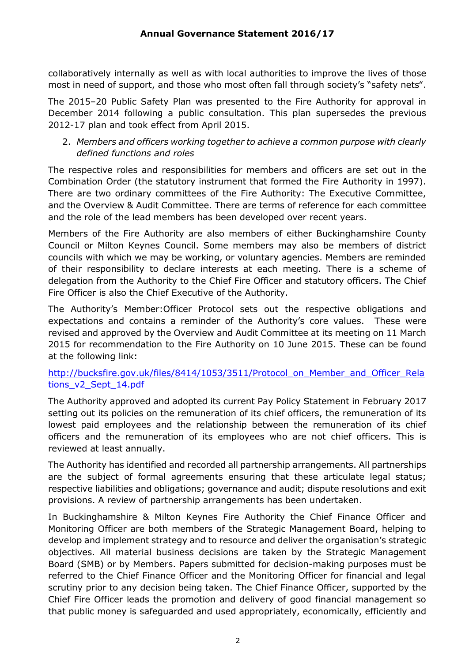collaboratively internally as well as with local authorities to improve the lives of those most in need of support, and those who most often fall through society's "safety nets".

The 2015–20 Public Safety Plan was presented to the Fire Authority for approval in December 2014 following a public consultation. This plan supersedes the previous 2012-17 plan and took effect from April 2015.

### 2. *Members and officers working together to achieve a common purpose with clearly defined functions and roles*

The respective roles and responsibilities for members and officers are set out in the Combination Order (the statutory instrument that formed the Fire Authority in 1997). There are two ordinary committees of the Fire Authority: The Executive Committee, and the Overview & Audit Committee. There are terms of reference for each committee and the role of the lead members has been developed over recent years.

Members of the Fire Authority are also members of either Buckinghamshire County Council or Milton Keynes Council. Some members may also be members of district councils with which we may be working, or voluntary agencies. Members are reminded of their responsibility to declare interests at each meeting. There is a scheme of delegation from the Authority to the Chief Fire Officer and statutory officers. The Chief Fire Officer is also the Chief Executive of the Authority.

The Authority's Member:Officer Protocol sets out the respective obligations and expectations and contains a reminder of the Authority's core values. These were revised and approved by the Overview and Audit Committee at its meeting on 11 March 2015 for recommendation to the Fire Authority on 10 June 2015. These can be found at the following link:

### [http://bucksfire.gov.uk/files/8414/1053/3511/Protocol\\_on\\_Member\\_and\\_Officer\\_Rela](http://bucksfire.gov.uk/files/8414/1053/3511/Protocol_on_Member_and_Officer_Relations_v2_Sept_14.pdf) [tions\\_v2\\_Sept\\_14.pdf](http://bucksfire.gov.uk/files/8414/1053/3511/Protocol_on_Member_and_Officer_Relations_v2_Sept_14.pdf)

The Authority approved and adopted its current Pay Policy Statement in February 2017 setting out its policies on the remuneration of its chief officers, the remuneration of its lowest paid employees and the relationship between the remuneration of its chief officers and the remuneration of its employees who are not chief officers. This is reviewed at least annually.

The Authority has identified and recorded all partnership arrangements. All partnerships are the subject of formal agreements ensuring that these articulate legal status; respective liabilities and obligations; governance and audit; dispute resolutions and exit provisions. A review of partnership arrangements has been undertaken.

In Buckinghamshire & Milton Keynes Fire Authority the Chief Finance Officer and Monitoring Officer are both members of the Strategic Management Board, helping to develop and implement strategy and to resource and deliver the organisation's strategic objectives. All material business decisions are taken by the Strategic Management Board (SMB) or by Members. Papers submitted for decision-making purposes must be referred to the Chief Finance Officer and the Monitoring Officer for financial and legal scrutiny prior to any decision being taken. The Chief Finance Officer, supported by the Chief Fire Officer leads the promotion and delivery of good financial management so that public money is safeguarded and used appropriately, economically, efficiently and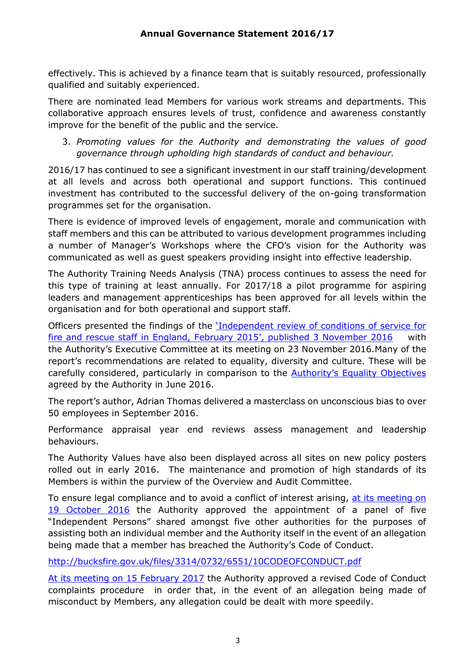effectively. This is achieved by a finance team that is suitably resourced, professionally qualified and suitably experienced.

There are nominated lead Members for various work streams and departments. This collaborative approach ensures levels of trust, confidence and awareness constantly improve for the benefit of the public and the service.

#### 3. *Promoting values for the Authority and demonstrating the values of good governance through upholding high standards of conduct and behaviour.*

2016/17 has continued to see a significant investment in our staff training/development at all levels and across both operational and support functions. This continued investment has contributed to the successful delivery of the on-going transformation programmes set for the organisation.

There is evidence of improved levels of engagement, morale and communication with staff members and this can be attributed to various development programmes including a number of Manager's Workshops where the CFO's vision for the Authority was communicated as well as guest speakers providing insight into effective leadership.

The Authority Training Needs Analysis (TNA) process continues to assess the need for this type of training at least annually. For 2017/18 a pilot programme for aspiring leaders and management apprenticeships has been approved for all levels within the organisation and for both operational and support staff.

Officers presented the findings of the '[Independent review of conditions of service for](https://www.gov.uk/government/publications/conditions-of-service-for-fire-and-rescue-staff-independent-review)  [fire and rescue staff in England, February 2015', published 3 November 2016](https://www.gov.uk/government/publications/conditions-of-service-for-fire-and-rescue-staff-independent-review) with the Authority's Executive Committee at its meeting on 23 November 2016.Many of the report's recommendations are related to equality, diversity and culture. These will be carefully considered, particularly in comparison to the [Authority's Equality Objectives](http://bucksfire.gov.uk/files/4714/6425/6193/ITEM_15_ED_Cover_Paper_FA_Annex_and_Appendices.pdf)  agreed by the Authority in June 2016.

The report's author, Adrian Thomas delivered a masterclass on unconscious bias to over 50 employees in September 2016.

Performance appraisal year end reviews assess management and leadership behaviours.

The Authority Values have also been displayed across all sites on new policy posters rolled out in early 2016. The maintenance and promotion of high standards of its Members is within the purview of the Overview and Audit Committee.

To ensure legal compliance and to avoid a conflict of interest arising, [at its meeting on](http://bucksfire.gov.uk/files/2014/7637/4412/FIRE_AUTHORITY_AGENDA_AND_REPORTS_191016v4.pdf)  [19 October 2016](http://bucksfire.gov.uk/files/2014/7637/4412/FIRE_AUTHORITY_AGENDA_AND_REPORTS_191016v4.pdf) the Authority approved the appointment of a panel of five "Independent Persons" shared amongst five other authorities for the purposes of assisting both an individual member and the Authority itself in the event of an allegation being made that a member has breached the Authority's Code of Conduct.

<http://bucksfire.gov.uk/files/3314/0732/6551/10CODEOFCONDUCT.pdf>

[At its meeting on 15 February 2017](http://bucksfire.gov.uk/files/8314/8639/2800/ITEM_7a_Size_of_the_Authority_and_its_code_of_conduct_complaints_procedureAppendices.compressed.pdf) the Authority approved a [revised Code of Conduct](http://bucksfire.gov.uk/fire-authority/governance/local-code-conduct-complaints-process/)  [complaints procedure](http://bucksfire.gov.uk/fire-authority/governance/local-code-conduct-complaints-process/) in order that, in the event of an allegation being made of misconduct by Members, any allegation could be dealt with more speedily.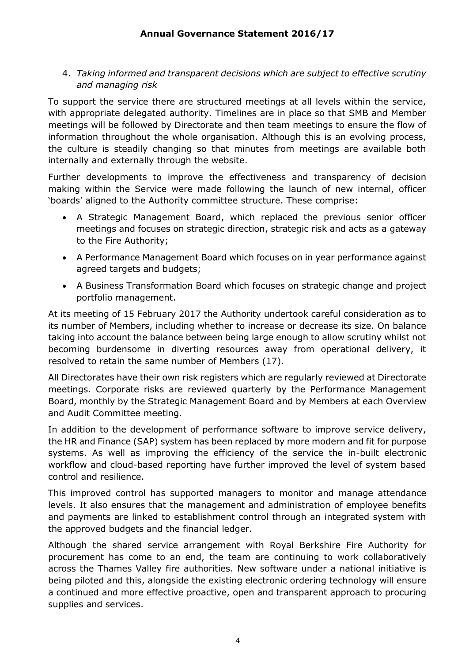4. *Taking informed and transparent decisions which are subject to effective scrutiny and managing risk* 

To support the service there are structured meetings at all levels within the service, with appropriate delegated authority. Timelines are in place so that SMB and Member meetings will be followed by Directorate and then team meetings to ensure the flow of information throughout the whole organisation. Although this is an evolving process, the culture is steadily changing so that minutes from meetings are available both internally and externally through the website.

Further developments to improve the effectiveness and transparency of decision making within the Service were made following the launch of new internal, officer 'boards' aligned to the Authority committee structure. These comprise:

- A Strategic Management Board, which replaced the previous senior officer meetings and focuses on strategic direction, strategic risk and acts as a gateway to the Fire Authority;
- A Performance Management Board which focuses on in year performance against agreed targets and budgets;
- A Business Transformation Board which focuses on strategic change and project portfolio management.

At its meeting of 15 February 2017 the Authority undertook careful consideration as to its number of Members, including whether to increase or decrease its size. On balance taking into account the balance between being large enough to allow scrutiny whilst not becoming burdensome in diverting resources away from operational delivery, it resolved to retain the same number of Members (17).

All Directorates have their own risk registers which are regularly reviewed at Directorate meetings. Corporate risks are reviewed quarterly by the Performance Management Board, monthly by the Strategic Management Board and by Members at each Overview and Audit Committee meeting.

In addition to the development of performance software to improve service delivery, the HR and Finance (SAP) system has been replaced by more modern and fit for purpose systems. As well as improving the efficiency of the service the in-built electronic workflow and cloud-based reporting have further improved the level of system based control and resilience.

This improved control has supported managers to monitor and manage attendance levels. It also ensures that the management and administration of employee benefits and payments are linked to establishment control through an integrated system with the approved budgets and the financial ledger.

Although the shared service arrangement with Royal Berkshire Fire Authority for procurement has come to an end, the team are continuing to work collaboratively across the Thames Valley fire authorities. New software under a national initiative is being piloted and this, alongside the existing electronic ordering technology will ensure a continued and more effective proactive, open and transparent approach to procuring supplies and services.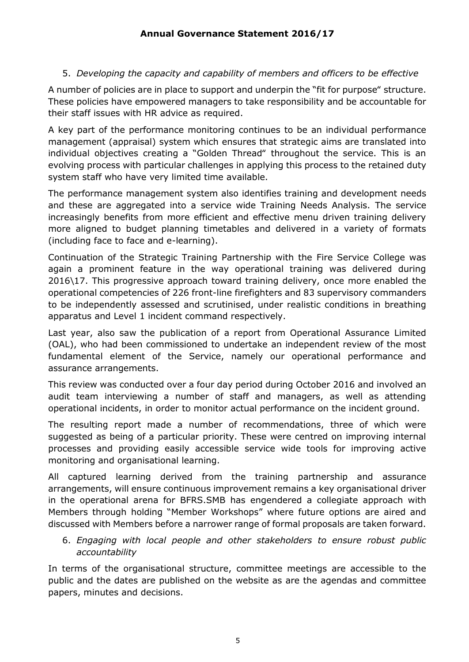## 5. *Developing the capacity and capability of members and officers to be effective*

A number of policies are in place to support and underpin the "fit for purpose" structure. These policies have empowered managers to take responsibility and be accountable for their staff issues with HR advice as required.

A key part of the performance monitoring continues to be an individual performance management (appraisal) system which ensures that strategic aims are translated into individual objectives creating a "Golden Thread" throughout the service. This is an evolving process with particular challenges in applying this process to the retained duty system staff who have very limited time available.

The performance management system also identifies training and development needs and these are aggregated into a service wide Training Needs Analysis. The service increasingly benefits from more efficient and effective menu driven training delivery more aligned to budget planning timetables and delivered in a variety of formats (including face to face and e-learning).

Continuation of the Strategic Training Partnership with the Fire Service College was again a prominent feature in the way operational training was delivered during 2016\17. This progressive approach toward training delivery, once more enabled the operational competencies of 226 front-line firefighters and 83 supervisory commanders to be independently assessed and scrutinised, under realistic conditions in breathing apparatus and Level 1 incident command respectively.

Last year, also saw the publication of a report from Operational Assurance Limited (OAL), who had been commissioned to undertake an independent review of the most fundamental element of the Service, namely our operational performance and assurance arrangements.

This review was conducted over a four day period during October 2016 and involved an audit team interviewing a number of staff and managers, as well as attending operational incidents, in order to monitor actual performance on the incident ground.

The resulting report made a number of recommendations, three of which were suggested as being of a particular priority. These were centred on improving internal processes and providing easily accessible service wide tools for improving active monitoring and organisational learning.

All captured learning derived from the training partnership and assurance arrangements, will ensure continuous improvement remains a key organisational driver in the operational arena for BFRS.SMB has engendered a collegiate approach with Members through holding "Member Workshops" where future options are aired and discussed with Members before a narrower range of formal proposals are taken forward.

6. *Engaging with local people and other stakeholders to ensure robust public accountability* 

In terms of the organisational structure, committee meetings are accessible to the public and the dates are published on the website as are the agendas and committee papers, minutes and decisions.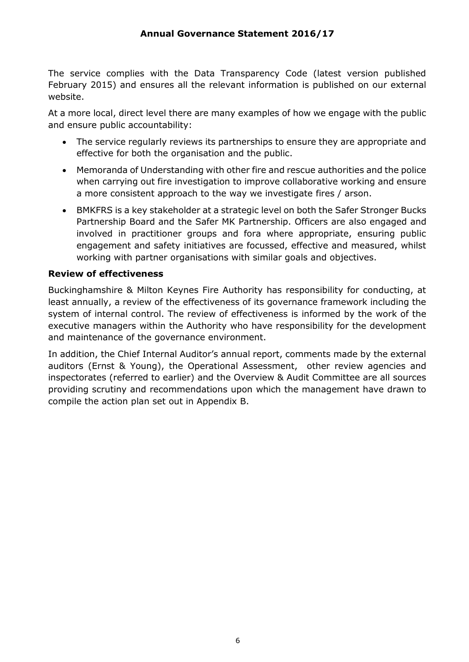The service complies with the Data Transparency Code (latest version published February 2015) and ensures all the relevant information is published on our external website.

At a more local, direct level there are many examples of how we engage with the public and ensure public accountability:

- The service regularly reviews its partnerships to ensure they are appropriate and effective for both the organisation and the public.
- Memoranda of Understanding with other fire and rescue authorities and the police when carrying out fire investigation to improve collaborative working and ensure a more consistent approach to the way we investigate fires / arson.
- BMKFRS is a key stakeholder at a strategic level on both the Safer Stronger Bucks Partnership Board and the Safer MK Partnership. Officers are also engaged and involved in practitioner groups and fora where appropriate, ensuring public engagement and safety initiatives are focussed, effective and measured, whilst working with partner organisations with similar goals and objectives.

#### **Review of effectiveness**

Buckinghamshire & Milton Keynes Fire Authority has responsibility for conducting, at least annually, a review of the effectiveness of its governance framework including the system of internal control. The review of effectiveness is informed by the work of the executive managers within the Authority who have responsibility for the development and maintenance of the governance environment.

In addition, the Chief Internal Auditor's annual report, comments made by the external auditors (Ernst & Young), the Operational Assessment, other review agencies and inspectorates (referred to earlier) and the Overview & Audit Committee are all sources providing scrutiny and recommendations upon which the management have drawn to compile the action plan set out in Appendix B.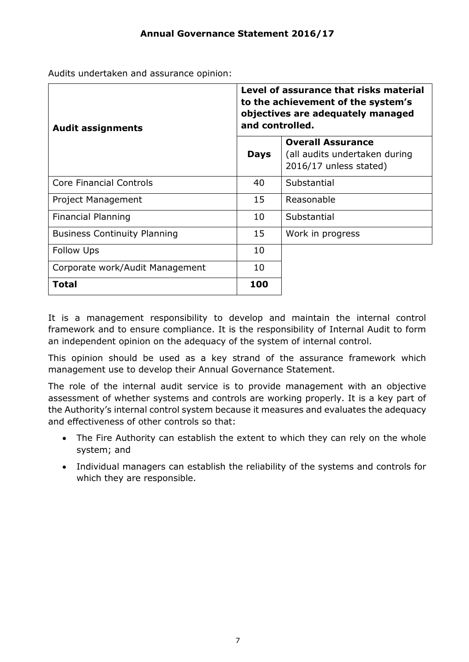Audits undertaken and assurance opinion:

| <b>Audit assignments</b>            | Level of assurance that risks material<br>to the achievement of the system's<br>objectives are adequately managed<br>and controlled. |                                                                                     |  |
|-------------------------------------|--------------------------------------------------------------------------------------------------------------------------------------|-------------------------------------------------------------------------------------|--|
|                                     | <b>Days</b>                                                                                                                          | <b>Overall Assurance</b><br>(all audits undertaken during<br>2016/17 unless stated) |  |
| <b>Core Financial Controls</b>      | 40                                                                                                                                   | Substantial                                                                         |  |
| Project Management                  | 15                                                                                                                                   | Reasonable                                                                          |  |
| Financial Planning                  | 10                                                                                                                                   | Substantial                                                                         |  |
| <b>Business Continuity Planning</b> | 15                                                                                                                                   | Work in progress                                                                    |  |
| <b>Follow Ups</b>                   | 10                                                                                                                                   |                                                                                     |  |
| Corporate work/Audit Management     | 10                                                                                                                                   |                                                                                     |  |
| <b>Total</b>                        | 100                                                                                                                                  |                                                                                     |  |

It is a management responsibility to develop and maintain the internal control framework and to ensure compliance. It is the responsibility of Internal Audit to form an independent opinion on the adequacy of the system of internal control.

This opinion should be used as a key strand of the assurance framework which management use to develop their Annual Governance Statement.

The role of the internal audit service is to provide management with an objective assessment of whether systems and controls are working properly. It is a key part of the Authority's internal control system because it measures and evaluates the adequacy and effectiveness of other controls so that:

- The Fire Authority can establish the extent to which they can rely on the whole system; and
- Individual managers can establish the reliability of the systems and controls for which they are responsible.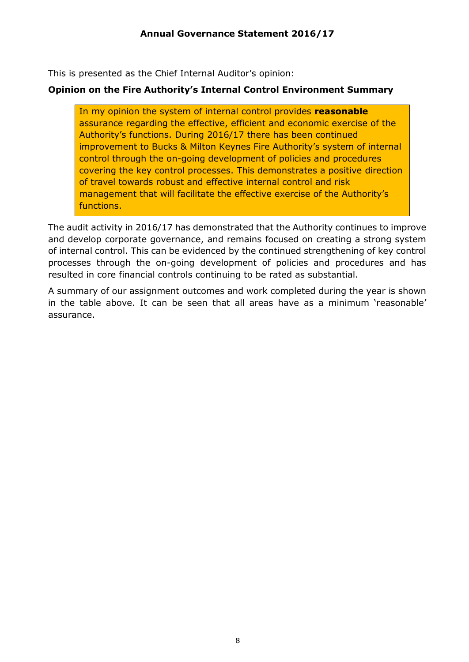This is presented as the Chief Internal Auditor's opinion:

### **Opinion on the Fire Authority's Internal Control Environment Summary**

In my opinion the system of internal control provides **reasonable** assurance regarding the effective, efficient and economic exercise of the Authority's functions. During 2016/17 there has been continued improvement to Bucks & Milton Keynes Fire Authority's system of internal control through the on-going development of policies and procedures covering the key control processes. This demonstrates a positive direction of travel towards robust and effective internal control and risk management that will facilitate the effective exercise of the Authority's functions.

The audit activity in 2016/17 has demonstrated that the Authority continues to improve and develop corporate governance, and remains focused on creating a strong system of internal control. This can be evidenced by the continued strengthening of key control processes through the on-going development of policies and procedures and has resulted in core financial controls continuing to be rated as substantial.

A summary of our assignment outcomes and work completed during the year is shown in the table above. It can be seen that all areas have as a minimum 'reasonable' assurance.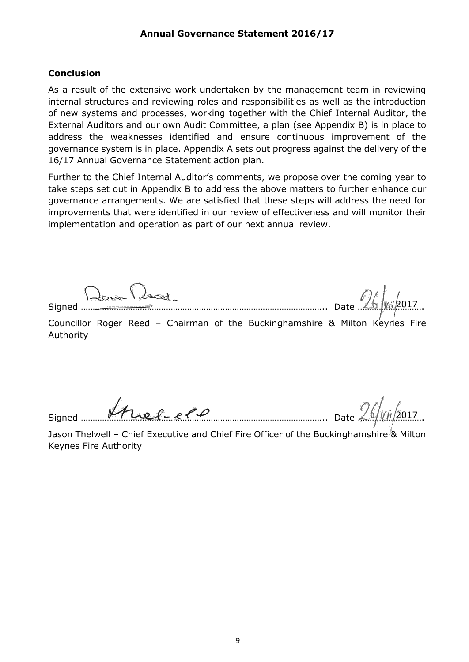#### **Conclusion**

As a result of the extensive work undertaken by the management team in reviewing internal structures and reviewing roles and responsibilities as well as the introduction of new systems and processes, working together with the Chief Internal Auditor, the External Auditors and our own Audit Committee, a plan (see Appendix B) is in place to address the weaknesses identified and ensure continuous improvement of the governance system is in place. Appendix A sets out progress against the delivery of the 16/17 Annual Governance Statement action plan.

Further to the Chief Internal Auditor's comments, we propose over the coming year to take steps set out in Appendix B to address the above matters to further enhance our governance arrangements. We are satisfied that these steps will address the need for improvements that were identified in our review of effectiveness and will monitor their implementation and operation as part of our next annual review.

Done Deed

Signed ………………………………………………………………………………………….. Date ………………………. 2017

Councillor Roger Reed - Chairman of the Buckinghamshire & Milton Keynes Fire Authority

Signed  $\mu_{\ell}$  ,  $\ell_{\ell}$  ,  $\ell_{\ell}$  ,  $\ell_{\ell}$  ,  $\ell_{\ell}$  ,  $\ell_{\ell}$  ,  $\ell_{\ell}$  ,  $\ell_{\ell}$  ,  $\ell_{\ell}$  ,  $\ell_{\ell}$  ,  $\ell_{\ell}$  ,  $\ell_{\ell}$  ,  $\ell_{\ell}$  ,  $\ell_{\ell}$  ,  $\ell_{\ell}$  ,  $\ell_{\ell}$  ,  $\ell_{\ell}$  ,  $\ell_{\ell}$  ,  $\ell_{\ell}$  ,  $\ell_{\$ 

Jason Thelwell - Chief Executive and Chief Fire Officer of the Buckinghamshire & Milton Keynes Fire Authority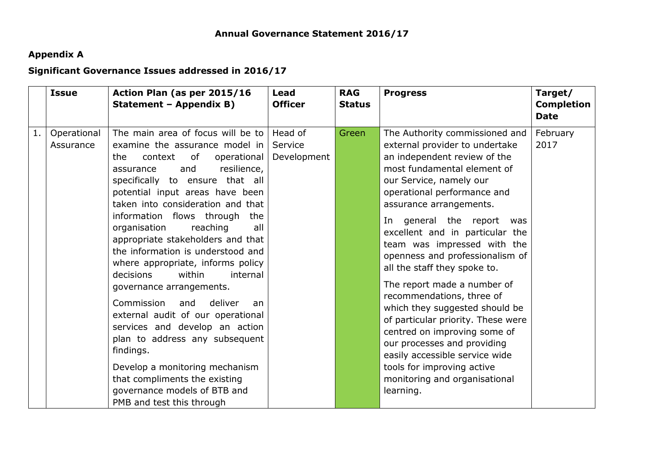# **Appendix A**

# **Significant Governance Issues addressed in 2016/17**

|    | <b>Issue</b>             | Action Plan (as per 2015/16<br>Statement - Appendix B)                                                                                                                                                                                                                                                                                                                                                                                                                                                                                                                                                                                                                                                                                                                                                    | <b>Lead</b><br><b>Officer</b>     | <b>RAG</b><br><b>Status</b> | <b>Progress</b>                                                                                                                                                                                                                                                                                                                                                                                                                                                                                                                                                                                                                                                                                            | Target/<br><b>Completion</b><br><b>Date</b> |
|----|--------------------------|-----------------------------------------------------------------------------------------------------------------------------------------------------------------------------------------------------------------------------------------------------------------------------------------------------------------------------------------------------------------------------------------------------------------------------------------------------------------------------------------------------------------------------------------------------------------------------------------------------------------------------------------------------------------------------------------------------------------------------------------------------------------------------------------------------------|-----------------------------------|-----------------------------|------------------------------------------------------------------------------------------------------------------------------------------------------------------------------------------------------------------------------------------------------------------------------------------------------------------------------------------------------------------------------------------------------------------------------------------------------------------------------------------------------------------------------------------------------------------------------------------------------------------------------------------------------------------------------------------------------------|---------------------------------------------|
| 1. | Operational<br>Assurance | The main area of focus will be to<br>examine the assurance model in<br>context<br>of<br>operational<br>the<br>resilience,<br>and<br>assurance<br>specifically to ensure that all<br>potential input areas have been<br>taken into consideration and that<br>information flows through<br>the<br>all<br>reaching<br>organisation<br>appropriate stakeholders and that<br>the information is understood and<br>where appropriate, informs policy<br>decisions<br>within<br>internal<br>governance arrangements.<br>Commission<br>deliver<br>and<br>an<br>external audit of our operational<br>services and develop an action<br>plan to address any subsequent<br>findings.<br>Develop a monitoring mechanism<br>that compliments the existing<br>governance models of BTB and<br>PMB and test this through | Head of<br>Service<br>Development | Green                       | The Authority commissioned and<br>external provider to undertake<br>an independent review of the<br>most fundamental element of<br>our Service, namely our<br>operational performance and<br>assurance arrangements.<br>In general the report<br>was<br>excellent and in particular the<br>team was impressed with the<br>openness and professionalism of<br>all the staff they spoke to.<br>The report made a number of<br>recommendations, three of<br>which they suggested should be<br>of particular priority. These were<br>centred on improving some of<br>our processes and providing<br>easily accessible service wide<br>tools for improving active<br>monitoring and organisational<br>learning. | February<br>2017                            |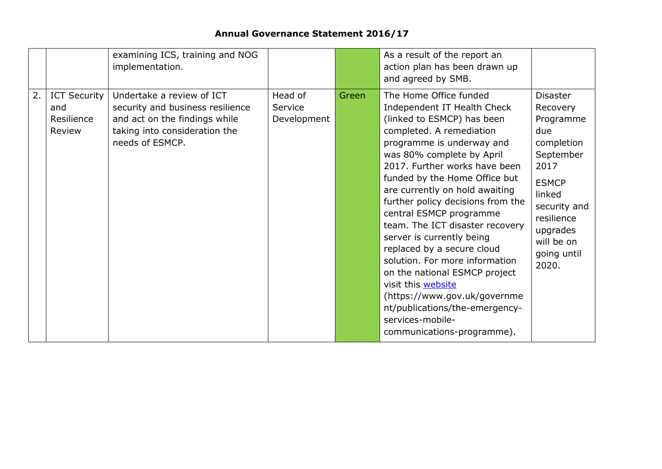# **Annual Governance Statement 2016/17**

|    |                                                    | examining ICS, training and NOG<br>implementation.                                                                                                 |                                   |       | As a result of the report an<br>action plan has been drawn up<br>and agreed by SMB.                                                                                                                                                                                                                                                                                                                                                                                                                                                                                                                                                                      |                                                                                                                                                                                              |
|----|----------------------------------------------------|----------------------------------------------------------------------------------------------------------------------------------------------------|-----------------------------------|-------|----------------------------------------------------------------------------------------------------------------------------------------------------------------------------------------------------------------------------------------------------------------------------------------------------------------------------------------------------------------------------------------------------------------------------------------------------------------------------------------------------------------------------------------------------------------------------------------------------------------------------------------------------------|----------------------------------------------------------------------------------------------------------------------------------------------------------------------------------------------|
| 2. | <b>ICT Security</b><br>and<br>Resilience<br>Review | Undertake a review of ICT<br>security and business resilience<br>and act on the findings while<br>taking into consideration the<br>needs of ESMCP. | Head of<br>Service<br>Development | Green | The Home Office funded<br>Independent IT Health Check<br>(linked to ESMCP) has been<br>completed. A remediation<br>programme is underway and<br>was 80% complete by April<br>2017. Further works have been<br>funded by the Home Office but<br>are currently on hold awaiting<br>further policy decisions from the<br>central ESMCP programme<br>team. The ICT disaster recovery<br>server is currently being<br>replaced by a secure cloud<br>solution. For more information<br>on the national ESMCP project<br>visit this website<br>(https://www.gov.uk/governme<br>nt/publications/the-emergency-<br>services-mobile-<br>communications-programme). | <b>Disaster</b><br>Recovery<br>Programme<br>due<br>completion<br>September<br>2017<br><b>ESMCP</b><br>linked<br>security and<br>resilience<br>upgrades<br>will be on<br>going until<br>2020. |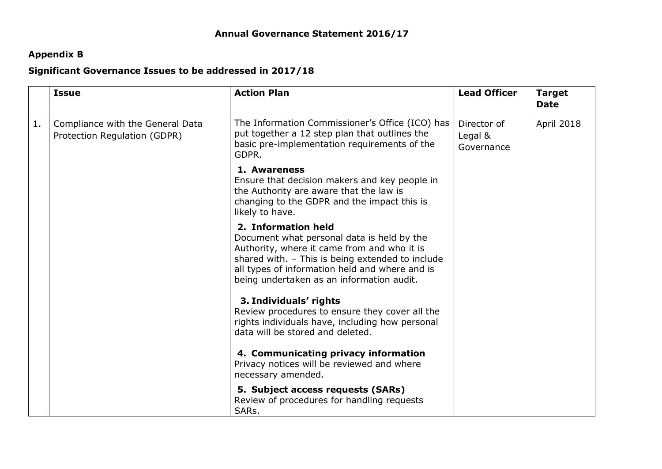# **Appendix B**

### **Significant Governance Issues to be addressed in 2017/18**

|    | <b>Issue</b>                                                     | <b>Action Plan</b>                                                                                                                                                                                                                                                  | <b>Lead Officer</b>                  | <b>Target</b><br><b>Date</b> |
|----|------------------------------------------------------------------|---------------------------------------------------------------------------------------------------------------------------------------------------------------------------------------------------------------------------------------------------------------------|--------------------------------------|------------------------------|
| 1. | Compliance with the General Data<br>Protection Regulation (GDPR) | The Information Commissioner's Office (ICO) has<br>put together a 12 step plan that outlines the<br>basic pre-implementation requirements of the<br>GDPR.                                                                                                           | Director of<br>Legal &<br>Governance | April 2018                   |
|    |                                                                  | 1. Awareness<br>Ensure that decision makers and key people in<br>the Authority are aware that the law is<br>changing to the GDPR and the impact this is<br>likely to have.                                                                                          |                                      |                              |
|    |                                                                  | 2. Information held<br>Document what personal data is held by the<br>Authority, where it came from and who it is<br>shared with. - This is being extended to include<br>all types of information held and where and is<br>being undertaken as an information audit. |                                      |                              |
|    |                                                                  | 3. Individuals' rights<br>Review procedures to ensure they cover all the<br>rights individuals have, including how personal<br>data will be stored and deleted.                                                                                                     |                                      |                              |
|    |                                                                  | 4. Communicating privacy information<br>Privacy notices will be reviewed and where<br>necessary amended.                                                                                                                                                            |                                      |                              |
|    |                                                                  | 5. Subject access requests (SARs)<br>Review of procedures for handling requests<br>SARs.                                                                                                                                                                            |                                      |                              |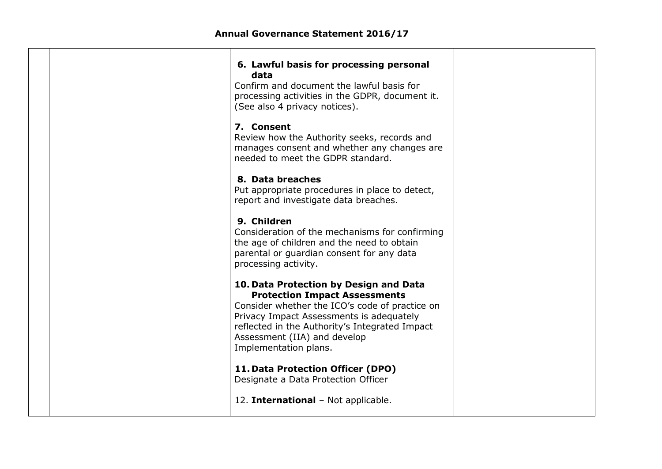| 6. Lawful basis for processing personal<br>data<br>Confirm and document the lawful basis for<br>processing activities in the GDPR, document it.<br>(See also 4 privacy notices).                                                                                                        |  |
|-----------------------------------------------------------------------------------------------------------------------------------------------------------------------------------------------------------------------------------------------------------------------------------------|--|
| 7. Consent<br>Review how the Authority seeks, records and<br>manages consent and whether any changes are<br>needed to meet the GDPR standard.                                                                                                                                           |  |
| 8. Data breaches<br>Put appropriate procedures in place to detect,<br>report and investigate data breaches.                                                                                                                                                                             |  |
| 9. Children<br>Consideration of the mechanisms for confirming<br>the age of children and the need to obtain<br>parental or guardian consent for any data<br>processing activity.                                                                                                        |  |
| 10. Data Protection by Design and Data<br><b>Protection Impact Assessments</b><br>Consider whether the ICO's code of practice on<br>Privacy Impact Assessments is adequately<br>reflected in the Authority's Integrated Impact<br>Assessment (IIA) and develop<br>Implementation plans. |  |
| 11. Data Protection Officer (DPO)<br>Designate a Data Protection Officer                                                                                                                                                                                                                |  |
| 12. International - Not applicable.                                                                                                                                                                                                                                                     |  |